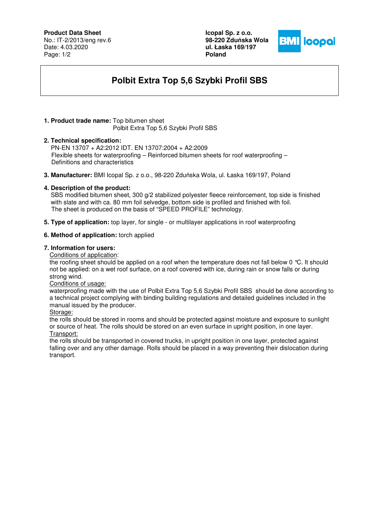# **Product Data Sheet**

No.: IT-2/2013/eng rev.6 Date: 4.03.2020 Page: 1/2

**Icopal Sp. z o.o. 98-220 Zdu**ń**ska Wola ul. Łaska 169/197 Poland** 



# **Polbit Extra Top 5,6 Szybki Profil SBS**

#### **1. Product trade name:** Top bitumen sheet Polbit Extra Top 5,6 Szybki Profil SBS

## **2. Technical specification:**

PN-EN 13707 + A2:2012 IDT. EN 13707:2004 + A2:2009 Flexible sheets for waterproofing – Reinforced bitumen sheets for roof waterproofing – Definitions and characteristics

**3. Manufacturer:** BMI Icopal Sp. z o.o., 98-220 Zduńska Wola, ul. Łaska 169/197, Poland

## **4. Description of the product:**

 SBS modified bitumen sheet, 300 g/2 stabilized polyester fleece reinforcement, top side is finished with slate and with ca. 80 mm foil selvedge, bottom side is profiled and finished with foil. The sheet is produced on the basis of "SPEED PROFILE" technology.

**5. Type of application:** top layer, for single - or multilayer applications in roof waterproofing

## **6. Method of application:** torch applied

#### **7. Information for users:**

Conditions of application:

the roofing sheet should be applied on a roof when the temperature does not fall below 0 °C. It should not be applied: on a wet roof surface, on a roof covered with ice, during rain or snow falls or during strong wind.

#### Conditions of usage:

waterproofing made with the use of Polbit Extra Top 5,6 Szybki Profil SBS should be done according to a technical project complying with binding building regulations and detailed guidelines included in the manual issued by the producer.

Storage:

the rolls should be stored in rooms and should be protected against moisture and exposure to sunlight or source of heat. The rolls should be stored on an even surface in upright position, in one layer. Transport:

the rolls should be transported in covered trucks, in upright position in one layer, protected against falling over and any other damage. Rolls should be placed in a way preventing their dislocation during transport.